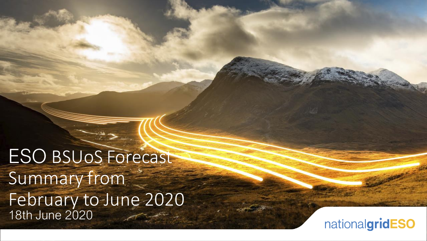ESO BSUoS Forecast Summary from February to June 2020 18th June 2020